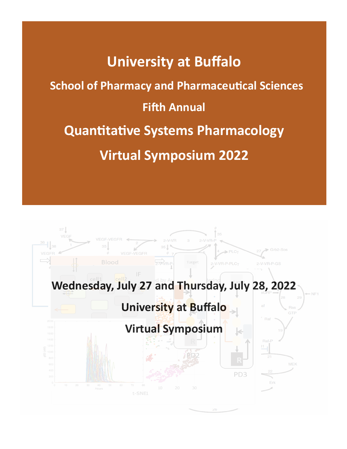# **University at Buffalo School of Pharmacy and Pharmaceutical Sciences Fifth Annual Quantitative Systems Pharmacology Virtual Symposium 2022**

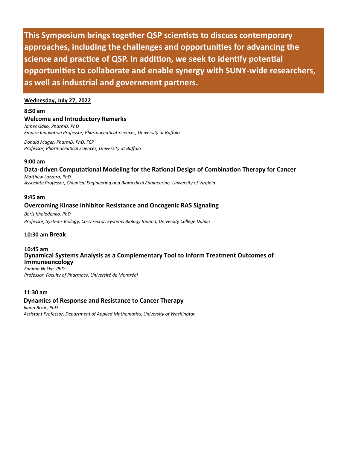**This Symposium brings together QSP scientists to discuss contemporary approaches, including the challenges and opportunities for advancing the science and practice of QSP. In addition, we seek to identify potential opportunities to collaborate and enable synergy with SUNY-wide researchers, as well as industrial and government partners.**

#### **Wednesday, July 27, 2022**

**8:50 am** 

# **Welcome and Introductory Remarks**

*James Gallo, PharmD, PhD Empire Innovation Professor, Pharmaceutical Sciences, University at Buffalo* 

*Donald Mager, PharmD, PhD, FCP Professor, Pharmaceutical Sciences, University at Buffalo*

### **9:00 am**

**Data-driven Computational Modeling for the Rational Design of Combination Therapy for Cancer**

*Matthew Lazzara, PhD Associate Professor, Chemical Engineering and Biomedical Engineering, University of Virginia*

# **9:45 am**

# **Overcoming Kinase Inhibitor Resistance and Oncogenic RAS Signaling**

*Boris Kholodenko, PhD Professor, Systems Biology, Co-Director, Systems Biology Ireland, University College Dublin*

# **10:30 am Break**

#### **10:45 am**

# **Dynamical Systems Analysis as a Complementary Tool to Inform Treatment Outcomes of Immuneoncology**

*Fahima Nekka, PhD Professor, Faculty of Pharmacy, Université de Montréal*

# **11:30 am**

# **Dynamics of Response and Resistance to Cancer Therapy**

*Ivana Bozic, PhD Assistant Professor, Department of Applied Mathematics, University of Washington*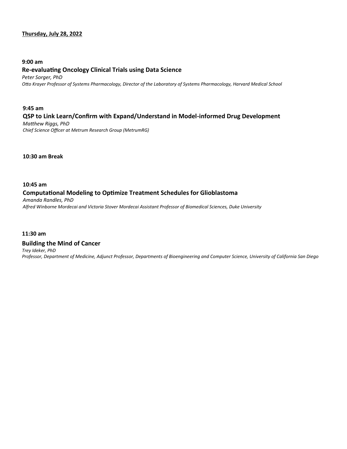# **Thursday, July 28, 2022**

#### **9:00 am**

#### **Re-evaluating Oncology Clinical Trials using Data Science**

*Peter Sorger, PhD Otto Krayer Professor of Systems Pharmacology, Director of the Laboratory of Systems Pharmacology, Harvard Medical School*

# **9:45 am QSP to Link Learn/Confirm with Expand/Understand in Model-informed Drug Development** *Matthew Riggs, PhD*

*Chief Science Officer at Metrum Research Group (MetrumRG)*

**10:30 am Break**

# **10:45 am Computational Modeling to Optimize Treatment Schedules for Glioblastoma**

*Amanda Randles, PhD Alfred Winborne Mordecai and Victoria Stover Mordecai Assistant Professor of Biomedical Sciences, Duke University*

# **11:30 am**

# **Building the Mind of Cancer**

*Trey Ideker, PhD*

*Professor, Department of Medicine, Adjunct Professor, Departments of Bioengineering and Computer Science, University of California San Diego*